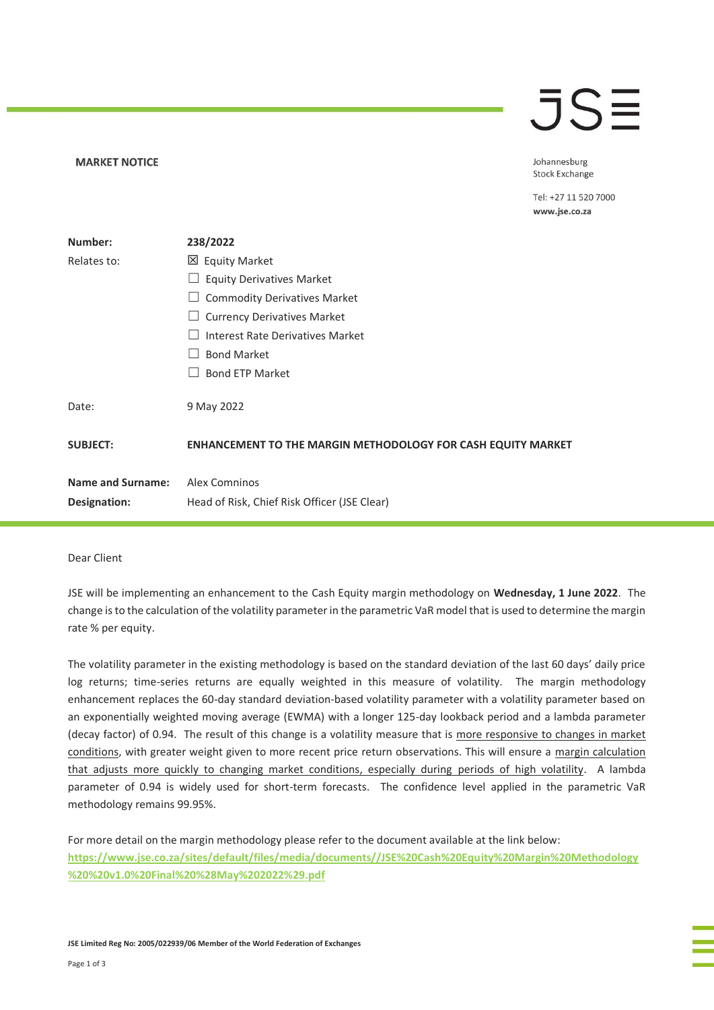## **JSE**

Johannesburg **Stock Exchange** 

Tel: +27 11 520 7000 www.jse.co.za

| Number:                  | 238/2022                                                            |
|--------------------------|---------------------------------------------------------------------|
| Relates to:              | 凶 Equity Market                                                     |
|                          | <b>Equity Derivatives Market</b>                                    |
|                          | <b>Commodity Derivatives Market</b>                                 |
|                          | <b>Currency Derivatives Market</b>                                  |
|                          | <b>Interest Rate Derivatives Market</b>                             |
|                          | <b>Bond Market</b>                                                  |
|                          | <b>Bond ETP Market</b>                                              |
| Date:                    | 9 May 2022                                                          |
| <b>SUBJECT:</b>          | <b>ENHANCEMENT TO THE MARGIN METHODOLOGY FOR CASH EQUITY MARKET</b> |
| <b>Name and Surname:</b> | Alex Comninos                                                       |
| Designation:             | Head of Risk, Chief Risk Officer (JSE Clear)                        |

## Dear Client

**MARKET NOTICE** 

JSE will be implementing an enhancement to the Cash Equity margin methodology on **Wednesday, 1 June 2022**. The change is to the calculation of the volatility parameter in the parametric VaR model that is used to determine the margin rate % per equity.

The volatility parameter in the existing methodology is based on the standard deviation of the last 60 days' daily price log returns; time-series returns are equally weighted in this measure of volatility. The margin methodology enhancement replaces the 60-day standard deviation-based volatility parameter with a volatility parameter based on an exponentially weighted moving average (EWMA) with a longer 125-day lookback period and a lambda parameter (decay factor) of 0.94. The result of this change is a volatility measure that is more responsive to changes in market conditions, with greater weight given to more recent price return observations. This will ensure a margin calculation that adjusts more quickly to changing market conditions, especially during periods of high volatility. A lambda parameter of 0.94 is widely used for short-term forecasts. The confidence level applied in the parametric VaR methodology remains 99.95%.

For more detail on the margin methodology please refer to the document available at the link below: **[https://www.jse.co.za/sites/default/files/media/documents//JSE%20Cash%20Equity%20Margin%20Methodology](https://www.jse.co.za/sites/default/files/media/documents/JSE%20Cash%20Equity%20Margin%20Methodology%20%20v1.0%20Final%20%28May%202022%29.pdf) [%20%20v1.0%20Final%20%28May%202022%29.pdf](https://www.jse.co.za/sites/default/files/media/documents/JSE%20Cash%20Equity%20Margin%20Methodology%20%20v1.0%20Final%20%28May%202022%29.pdf)**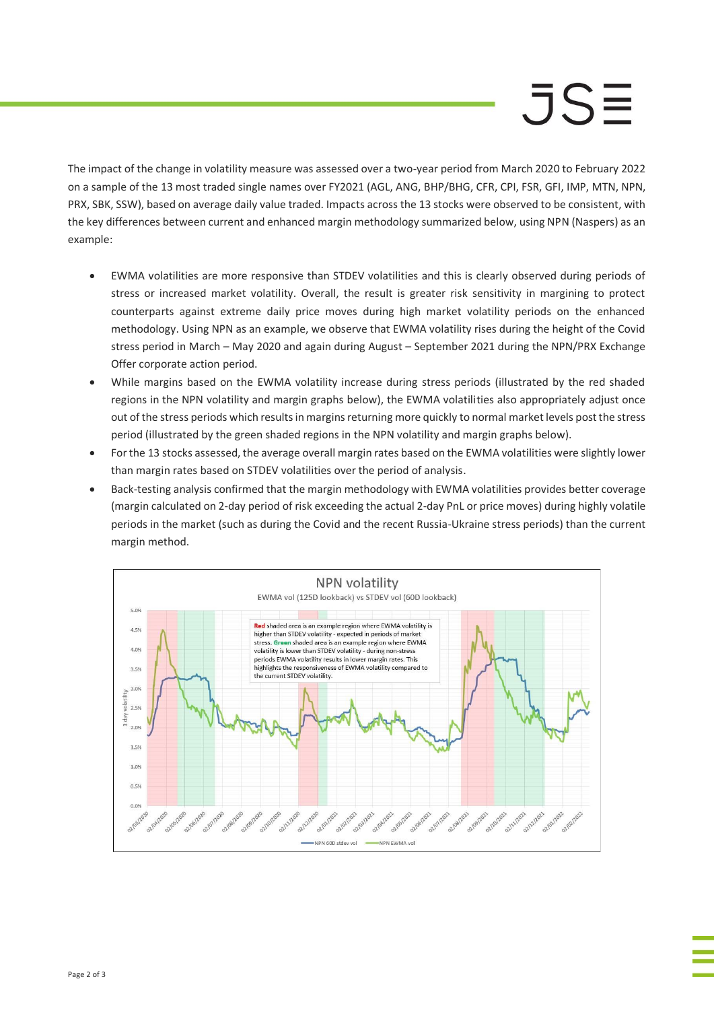## $JS =$

The impact of the change in volatility measure was assessed over a two-year period from March 2020 to February 2022 on a sample of the 13 most traded single names over FY2021 (AGL, ANG, BHP/BHG, CFR, CPI, FSR, GFI, IMP, MTN, NPN, PRX, SBK, SSW), based on average daily value traded. Impacts across the 13 stocks were observed to be consistent, with the key differences between current and enhanced margin methodology summarized below, using NPN (Naspers) as an example:

- EWMA volatilities are more responsive than STDEV volatilities and this is clearly observed during periods of stress or increased market volatility. Overall, the result is greater risk sensitivity in margining to protect counterparts against extreme daily price moves during high market volatility periods on the enhanced methodology. Using NPN as an example, we observe that EWMA volatility rises during the height of the Covid stress period in March – May 2020 and again during August – September 2021 during the NPN/PRX Exchange Offer corporate action period.
- While margins based on the EWMA volatility increase during stress periods (illustrated by the red shaded regions in the NPN volatility and margin graphs below), the EWMA volatilities also appropriately adjust once out of the stress periods which results in margins returning more quickly to normal market levels post the stress period (illustrated by the green shaded regions in the NPN volatility and margin graphs below).
- For the 13 stocks assessed, the average overall margin rates based on the EWMA volatilities were slightly lower than margin rates based on STDEV volatilities over the period of analysis.
- Back-testing analysis confirmed that the margin methodology with EWMA volatilities provides better coverage (margin calculated on 2-day period of risk exceeding the actual 2-day PnL or price moves) during highly volatile periods in the market (such as during the Covid and the recent Russia-Ukraine stress periods) than the current margin method.